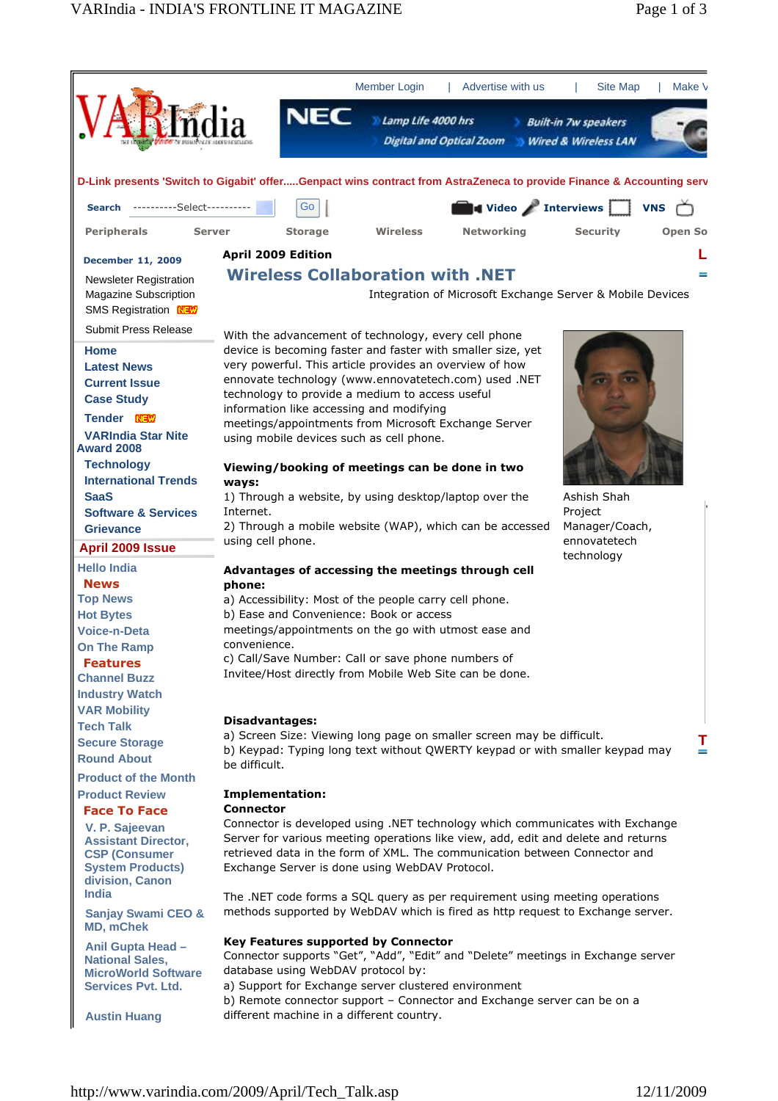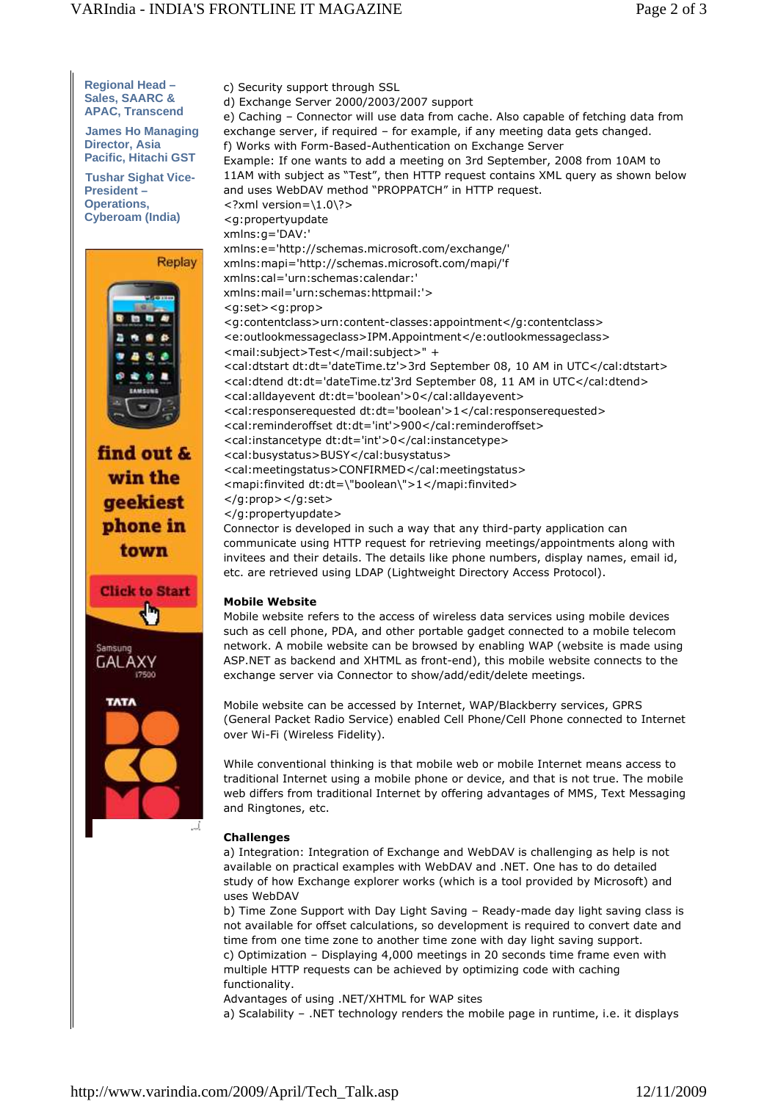**Regional Head –**  c) Security support through SSL **Sales, SAARC &**  d) Exchange Server 2000/2003/2007 support **APAC, Transcend James Ho Managing Director, Asia Pacific, Hitachi GST Tushar Sighat Vice-President – Operations,**  <?xml version=\1.0\?> **Cyberoam (India)** <g:propertyupdate xmlns:g='DAV:' Replay <g:set><g:prop> find out & win the geekiest </g:prop></g:set> </g:propertyupdate> phone in town etc. are retrieved using LDAP (Lightweight Directory Access Protocol). **Click to Start Mobile Website** GALA) **TATA** and Ringtones, etc. J. **Challenges**  uses WebDAV

e) Caching – Connector will use data from cache. Also capable of fetching data from exchange server, if required – for example, if any meeting data gets changed. f) Works with Form-Based-Authentication on Exchange Server Example: If one wants to add a meeting on 3rd September, 2008 from 10AM to 11AM with subject as "Test", then HTTP request contains XML query as shown below and uses WebDAV method "PROPPATCH" in HTTP request. xmlns:e='http://schemas.microsoft.com/exchange/' xmlns:mapi='http://schemas.microsoft.com/mapi/'f xmlns:cal='urn:schemas:calendar:' xmlns:mail='urn:schemas:httpmail:'> <g:contentclass>urn:content-classes:appointment</g:contentclass> <e:outlookmessageclass>IPM.Appointment</e:outlookmessageclass> <mail:subject>Test</mail:subject>" + <cal:dtstart dt:dt='dateTime.tz'>3rd September 08, 10 AM in UTC</cal:dtstart> <cal:dtend dt:dt='dateTime.tz'3rd September 08, 11 AM in UTC</cal:dtend> <cal:alldayevent dt:dt='boolean'>0</cal:alldayevent> <cal:responserequested dt:dt='boolean'>1</cal:responserequested> <cal:reminderoffset dt:dt='int'>900</cal:reminderoffset> <cal:instancetype dt:dt='int'>0</cal:instancetype> <cal:busystatus>BUSY</cal:busystatus> <cal:meetingstatus>CONFIRMED</cal:meetingstatus> <mapi:finvited dt:dt=\"boolean\">1</mapi:finvited> Connector is developed in such a way that any third-party application can communicate using HTTP request for retrieving meetings/appointments along with invitees and their details. The details like phone numbers, display names, email id,

Mobile website refers to the access of wireless data services using mobile devices such as cell phone, PDA, and other portable gadget connected to a mobile telecom network. A mobile website can be browsed by enabling WAP (website is made using ASP.NET as backend and XHTML as front-end), this mobile website connects to the exchange server via Connector to show/add/edit/delete meetings.

Mobile website can be accessed by Internet, WAP/Blackberry services, GPRS (General Packet Radio Service) enabled Cell Phone/Cell Phone connected to Internet over Wi-Fi (Wireless Fidelity).

While conventional thinking is that mobile web or mobile Internet means access to traditional Internet using a mobile phone or device, and that is not true. The mobile web differs from traditional Internet by offering advantages of MMS, Text Messaging

a) Integration: Integration of Exchange and WebDAV is challenging as help is not available on practical examples with WebDAV and .NET. One has to do detailed study of how Exchange explorer works (which is a tool provided by Microsoft) and

b) Time Zone Support with Day Light Saving – Ready-made day light saving class is not available for offset calculations, so development is required to convert date and time from one time zone to another time zone with day light saving support. c) Optimization – Displaying 4,000 meetings in 20 seconds time frame even with multiple HTTP requests can be achieved by optimizing code with caching functionality.

Advantages of using .NET/XHTML for WAP sites

a) Scalability – .NET technology renders the mobile page in runtime, i.e. it displays